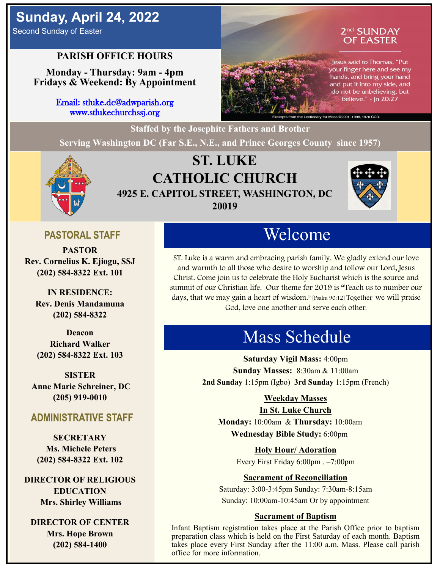# **Sunday, April 24, 2022**

Second Sunday of Easter

### **PARISH OFFICE HOURS**

**Monday - Thursday: 9am - 4pm Fridays & Weekend: By Appointment**

> Email: stluke.dc@adwparish.org www.stlukechurchssj.org



2<sup>nd</sup> SUNDAY **OF EASTER** 

Jesus said to Thomas, "Put your finger here and see my hands, and bring your hand and put it into my side, and do not be unbelieving, but believe." - Jn 20:27

001, 1998, 1970 CCD

**Staffed by the Josephite Fathers and Brother Serving Washington DC (Far S.E., N.E., and Prince Georges County since 1957)**



## **ST. LUKE CATHOLIC CHURCH 4925 E. CAPITOL STREET, WASHINGTON, DC 20019**



### **PASTORAL STAFF**

**PASTOR Rev. Cornelius K. Ejiogu, SSJ (202) 584-8322 Ext. 101**

**IN RESIDENCE: Rev. Denis Mandamuna (202) 584-8322** 

**Deacon Richard Walker (202) 584-8322 Ext. 103**

**SISTER Anne Marie Schreiner, DC (205) 919-0010**

### **ADMINISTRATIVE STAFF**

**SECRETARY Ms. Michele Peters (202) 584-8322 Ext. 102**

**DIRECTOR OF RELIGIOUS EDUCATION Mrs. Shirley Williams**

**DIRECTOR OF CENTER Mrs. Hope Brown (202) 584-1400**

# Welcome

ST. Luke is a warm and embracing parish family. We gladly extend our love and warmth to all those who desire to worship and follow our Lord, Jesus Christ. Come join us to celebrate the Holy Eucharist which is the source and summit of our Christian life. Our theme for 2019 is "Teach us to number our days, that we may gain a heart of wisdom." [Psalm 90:12] Together we will praise God, love one another and serve each other.

# Mass Schedule

**Saturday Vigil Mass:** 4:00pm **Sunday Masses:** 8:30am & 11:00am **2nd Sunday** 1:15pm (Igbo) **3rd Sunday** 1:15pm (French)

### **Weekday Masses**

### **In St. Luke Church**

**Monday:** 10:00am & **Thursday:** 10:00am **Wednesday Bible Study:** 6:00pm

**Holy Hour/ Adoration**

Every First Friday 6:00pm . –7:00pm

### **Sacrament of Reconciliation**

Saturday: 3:00-3:45pm Sunday: 7:30am-8:15am Sunday: 10:00am-10:45am Or by appointment

### **Sacrament of Baptism**

Infant Baptism registration takes place at the Parish Office prior to baptism preparation class which is held on the First Saturday of each month. Baptism takes place every First Sunday after the 11:00 a.m. Mass. Please call parish office for more information.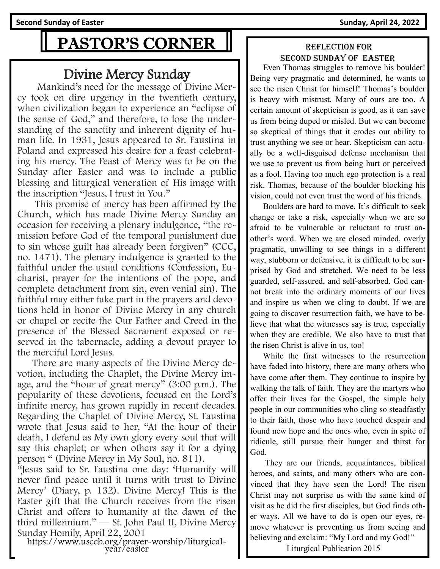**Second Sunday of Easter Sunday, April 24, 2022** 

# PASTOR'S CORNER

# Divine Mercy Sunday

 Mankind's need for the message of Divine Mercy took on dire urgency in the twentieth century, when civilization began to experience an "eclipse of the sense of God," and therefore, to lose the understanding of the sanctity and inherent dignity of human life. In 1931, Jesus appeared to Sr. Faustina in Poland and expressed his desire for a feast celebrating his mercy. The Feast of Mercy was to be on the Sunday after Easter and was to include a public blessing and liturgical veneration of His image with the inscription "Jesus, I trust in You."

 This promise of mercy has been affirmed by the Church, which has made Divine Mercy Sunday an occasion for receiving a plenary indulgence, "the remission before God of the temporal punishment due to sin whose guilt has already been forgiven" (CCC, no. 1471). The plenary indulgence is granted to the faithful under the usual conditions (Confession, Eucharist, prayer for the intentions of the pope, and complete detachment from sin, even venial sin). The faithful may either take part in the prayers and devotions held in honor of Divine Mercy in any church or chapel or recite the Our Father and Creed in the presence of the Blessed Sacrament exposed or reserved in the tabernacle, adding a devout prayer to the merciful Lord Jesus.

 There are many aspects of the Divine Mercy devotion, including the Chaplet, the Divine Mercy image, and the "hour of great mercy" (3:00 p.m.). The popularity of these devotions, focused on the Lord's infinite mercy, has grown rapidly in recent decades. Regarding the Chaplet of Divine Mercy, St. Faustina wrote that Jesus said to her, "At the hour of their death, I defend as My own glory every soul that will say this chaplet; or when others say it for a dying person " (Divine Mercy in My Soul, no. 811).

"Jesus said to Sr. Faustina one day: 'Humanity will never find peace until it turns with trust to Divine Mercy' (Diary, p. 132). Divine Mercy! This is the Easter gift that the Church receives from the risen Christ and offers to humanity at the dawn of the third millennium." — St. John Paul II, Divine Mercy Sunday Homily, April 22, 2001

https://www.usccb.org/prayer-worship/liturgicalyear/easter

### Reflection for SECOND SUNDAY OF EASTER

 Even Thomas struggles to remove his boulder! Being very pragmatic and determined, he wants to see the risen Christ for himself! Thomas's boulder is heavy with mistrust. Many of ours are too. A certain amount of skepticism is good, as it can save us from being duped or misled. But we can become so skeptical of things that it erodes our ability to trust anything we see or hear. Skepticism can actually be a well-disguised defense mechanism that we use to prevent us from being hurt or perceived as a fool. Having too much ego protection is a real risk. Thomas, because of the boulder blocking his vision, could not even trust the word of his friends.

 Boulders are hard to move. It's difficult to seek change or take a risk, especially when we are so afraid to be vulnerable or reluctant to trust another's word. When we are closed minded, overly pragmatic, unwilling to see things in a different way, stubborn or defensive, it is difficult to be surprised by God and stretched. We need to be less guarded, self-assured, and self-absorbed. God cannot break into the ordinary moments of our lives and inspire us when we cling to doubt. If we are going to discover resurrection faith, we have to believe that what the witnesses say is true, especially when they are credible. We also have to trust that the risen Christ is alive in us, too!

 While the first witnesses to the resurrection have faded into history, there are many others who have come after them. They continue to inspire by walking the talk of faith. They are the martyrs who offer their lives for the Gospel, the simple holy people in our communities who cling so steadfastly to their faith, those who have touched despair and found new hope and the ones who, even in spite of ridicule, still pursue their hunger and thirst for God.

 They are our friends, acquaintances, biblical heroes, and saints, and many others who are convinced that they have seen the Lord! The risen Christ may not surprise us with the same kind of visit as he did the first disciples, but God finds other ways. All we have to do is open our eyes, remove whatever is preventing us from seeing and believing and exclaim: "My Lord and my God!"

Liturgical Publication 2015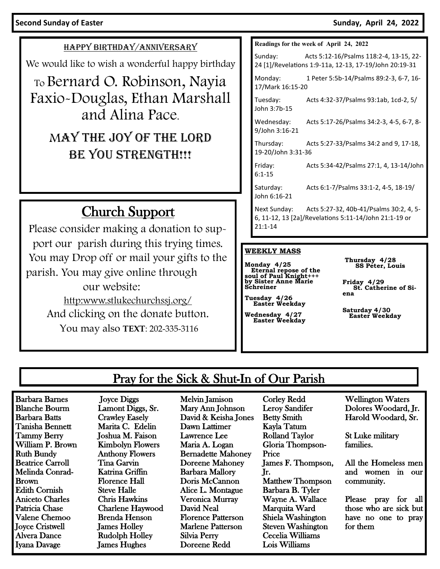#### HAPPY BIRTHDAY/ANNIVERSARY

We would like to wish a wonderful happy birthday

To Bernard O. Robinson, Nayia Faxio-Douglas, Ethan Marshall and Alina Pace. MAY THE JOY OF THE LORD

BE YOU STRENGTH!!!

# Church Support

Please consider making a donation to support our parish during this trying times. You may Drop off or mail your gifts to the parish. You may give online through our website: [http:www.stlukechurchssj.org/](http://www.stlukechurchssj.org/) And clicking on the donate button. You may also **TEXT**: 202-335-3116

#### **Readings for the week of April 24, 2022**

Sunday: Acts 5:12-16/Psalms 118:2-4, 13-15, 22- 24 [1]/Revelations 1:9-11a, 12-13, 17-19/John 20:19-31

Monday: 1 Peter 5:5b-14/Psalms 89:2-3, 6-7, 16- 17/Mark 16:15-20

Tuesday: Acts 4:32-37/Psalms 93:1ab, 1cd-2, 5/ John 3:7b-15

Wednesday: Acts 5:17-26/Psalms 34:2-3, 4-5, 6-7, 8- 9/John 3:16-21

Thursday: Acts 5:27-33/Psalms 34:2 and 9, 17-18, 19-20/John 3:31-36

6:1-15

Friday: Acts 5:34-42/Psalms 27:1, 4, 13-14/John

Saturday: Acts 6:1-7/Psalms 33:1-2, 4-5, 18-19/ John 6:16-21

Next Sunday: Acts 5:27-32, 40b-41/Psalms 30:2, 4, 5- 6, 11-12, 13 [2a]/Revelations 5:11-14/John 21:1-19 or 21:1-14

#### **WEEKLY MASS**

**Monday 4/25 Eternal repose of the soul of Paul Knight+++ by Sister Anne Marie Schreiner**

**Tuesday 4/26 Easter Weekday**

**Wednesday 4/27 Easter Weekday** **Thursday 4/28 SS Peter, Louis**

**Friday 4/29 St. Catherine of Siena**

**Saturday 4/30 Easter Weekday** 

### Pray for the Sick & Shut-In of Our Parish

Barbara Barnes Blanche Bourm Barbara Batts Tanisha Bennett Tammy Berry William P. Brown Ruth Bundy Beatrice Carroll Melinda Conrad-Brown Edith Cornish Aniceto Charles Patricia Chase Valene Chemoo Joyce Cristwell Alvera Dance Iyana Davage

 Joyce Diggs Lamont Diggs, Sr. Crawley Easely Marita C. Edelin Joshua M. Faison Kimbolyn Flowers Anthony Flowers Tina Garvin Katrina Griffin Florence Hall Steve Halle Chris Hawkins Charlene Haywood Brenda Henson James Holley Rudolph Holley James Hughes

Melvin Jamison Mary Ann Johnson David & Keisha Jones Dawn Lattimer Lawrence Lee Maria A. Logan Bernadette Mahoney Doreene Mahoney Barbara Mallory Doris McCannon Alice L. Montague Veronica Murray David Neal Florence Patterson Marlene Patterson Silvia Perry Doreene Redd

Corley Redd Leroy Sandifer Betty Smith Kayla Tatum Rolland Taylor Gloria Thompson-Price James F. Thompson, Jr. Matthew Thompson Barbara B. Tyler Wayne A. Wallace Marquita Ward Shiela Washington Steven Washington Cecelia Williams Lois Williams

Wellington Waters Dolores Woodard, Jr. Harold Woodard, Sr.

St Luke military families.

All the Homeless men and women in our community.

Please pray for all those who are sick but have no one to pray for them